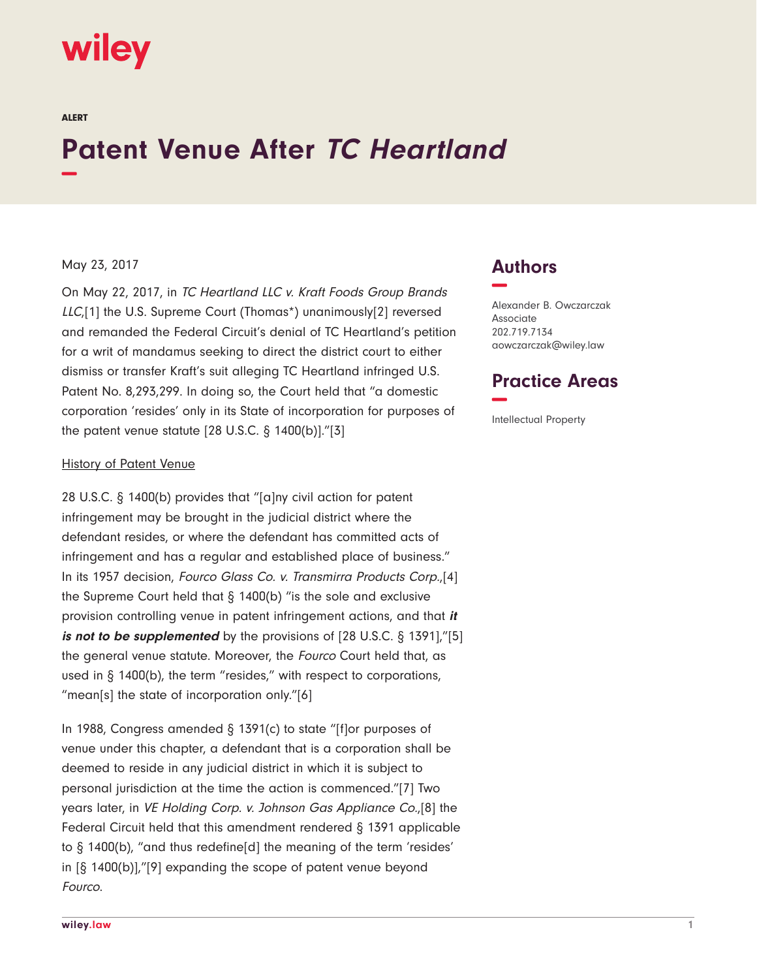

ALERT

# **Patent Venue After TC Heartland −**

#### May 23, 2017

On May 22, 2017, in TC Heartland LLC v. Kraft Foods Group Brands LLC,[1] the U.S. Supreme Court (Thomas\*) unanimously[2] reversed and remanded the Federal Circuit's denial of TC Heartland's petition for a writ of mandamus seeking to direct the district court to either dismiss or transfer Kraft's suit alleging TC Heartland infringed U.S. Patent No. 8,293,299. In doing so, the Court held that "a domestic corporation 'resides' only in its State of incorporation for purposes of the patent venue statute  $[28 \text{ U.S.C.} \S 1400(b)].$ " $[3]$ 

#### History of Patent Venue

28 U.S.C. § 1400(b) provides that "[a]ny civil action for patent infringement may be brought in the judicial district where the defendant resides, or where the defendant has committed acts of infringement and has a regular and established place of business." In its 1957 decision, Fourco Glass Co. v. Transmirra Products Corp.,[4] the Supreme Court held that § 1400(b) "is the sole and exclusive provision controlling venue in patent infringement actions, and that **it** *is not to be supplemented* by the provisions of [28 U.S.C. § 1391],"[5] the general venue statute. Moreover, the Fourco Court held that, as used in § 1400(b), the term "resides," with respect to corporations, "mean[s] the state of incorporation only."[6]

In 1988, Congress amended § 1391(c) to state "[f]or purposes of venue under this chapter, a defendant that is a corporation shall be deemed to reside in any judicial district in which it is subject to personal jurisdiction at the time the action is commenced."[7] Two years later, in VE Holding Corp. v. Johnson Gas Appliance Co.,[8] the Federal Circuit held that this amendment rendered § 1391 applicable to § 1400(b), "and thus redefine[d] the meaning of the term 'resides' in [§ 1400(b)],"[9] expanding the scope of patent venue beyond Fourco.

## **Authors −**

Alexander B. Owczarczak Associate 202.719.7134 aowczarczak@wiley.law

### **Practice Areas −**

Intellectual Property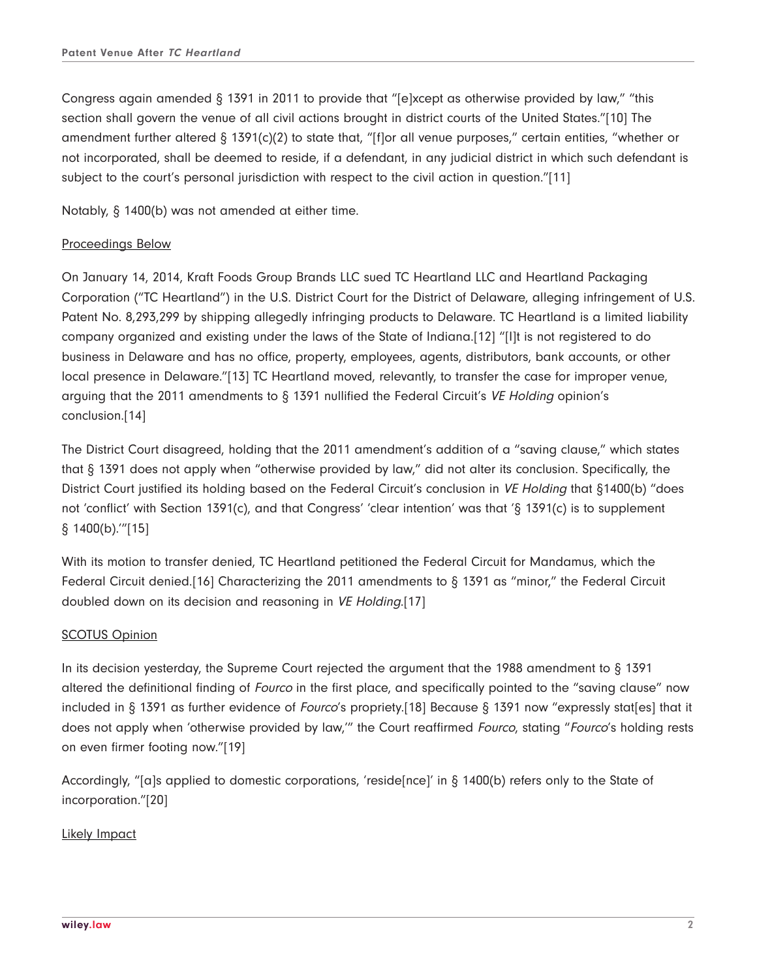Congress again amended § 1391 in 2011 to provide that "[e]xcept as otherwise provided by law," "this section shall govern the venue of all civil actions brought in district courts of the United States."[10] The amendment further altered § 1391(c)(2) to state that, "[f]or all venue purposes," certain entities, "whether or not incorporated, shall be deemed to reside, if a defendant, in any judicial district in which such defendant is subject to the court's personal jurisdiction with respect to the civil action in question."[11]

Notably, § 1400(b) was not amended at either time.

### Proceedings Below

On January 14, 2014, Kraft Foods Group Brands LLC sued TC Heartland LLC and Heartland Packaging Corporation ("TC Heartland") in the U.S. District Court for the District of Delaware, alleging infringement of U.S. Patent No. 8,293,299 by shipping allegedly infringing products to Delaware. TC Heartland is a limited liability company organized and existing under the laws of the State of Indiana.[12] "[I]t is not registered to do business in Delaware and has no office, property, employees, agents, distributors, bank accounts, or other local presence in Delaware."[13] TC Heartland moved, relevantly, to transfer the case for improper venue, arguing that the 2011 amendments to § 1391 nullified the Federal Circuit's VE Holding opinion's conclusion.[14]

The District Court disagreed, holding that the 2011 amendment's addition of a "saving clause," which states that § 1391 does not apply when "otherwise provided by law," did not alter its conclusion. Specifically, the District Court justified its holding based on the Federal Circuit's conclusion in VE Holding that §1400(b) "does not 'conflict' with Section 1391(c), and that Congress' 'clear intention' was that '§ 1391(c) is to supplement § 1400(b).'"[15]

With its motion to transfer denied, TC Heartland petitioned the Federal Circuit for Mandamus, which the Federal Circuit denied.[16] Characterizing the 2011 amendments to § 1391 as "minor," the Federal Circuit doubled down on its decision and reasoning in VE Holding.[17]

### SCOTUS Opinion

In its decision yesterday, the Supreme Court rejected the argument that the 1988 amendment to § 1391 altered the definitional finding of Fourco in the first place, and specifically pointed to the "saving clause" now included in § 1391 as further evidence of Fourco's propriety.[18] Because § 1391 now "expressly stat[es] that it does not apply when 'otherwise provided by law," the Court reaffirmed Fourco, stating "Fourco's holding rests on even firmer footing now."[19]

Accordingly, "[a]s applied to domestic corporations, 'reside[nce]' in § 1400(b) refers only to the State of incorporation."[20]

### Likely Impact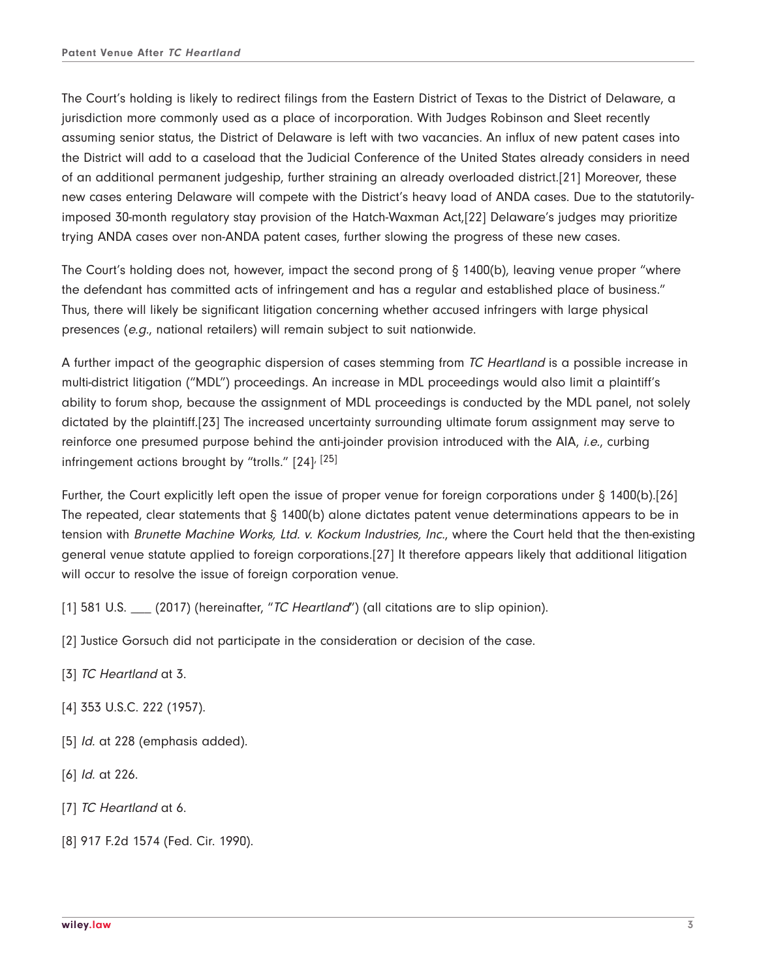The Court's holding is likely to redirect filings from the Eastern District of Texas to the District of Delaware, a jurisdiction more commonly used as a place of incorporation. With Judges Robinson and Sleet recently assuming senior status, the District of Delaware is left with two vacancies. An influx of new patent cases into the District will add to a caseload that the Judicial Conference of the United States already considers in need of an additional permanent judgeship, further straining an already overloaded district.[21] Moreover, these new cases entering Delaware will compete with the District's heavy load of ANDA cases. Due to the statutorilyimposed 30-month regulatory stay provision of the Hatch-Waxman Act,[22] Delaware's judges may prioritize trying ANDA cases over non-ANDA patent cases, further slowing the progress of these new cases.

The Court's holding does not, however, impact the second prong of § 1400(b), leaving venue proper "where the defendant has committed acts of infringement and has a regular and established place of business." Thus, there will likely be significant litigation concerning whether accused infringers with large physical presences (e.g., national retailers) will remain subject to suit nationwide.

A further impact of the geographic dispersion of cases stemming from TC Heartland is a possible increase in multi-district litigation ("MDL") proceedings. An increase in MDL proceedings would also limit a plaintiff's ability to forum shop, because the assignment of MDL proceedings is conducted by the MDL panel, not solely dictated by the plaintiff.[23] The increased uncertainty surrounding ultimate forum assignment may serve to reinforce one presumed purpose behind the anti-joinder provision introduced with the AIA, *i.e.*, curbing infringement actions brought by "trolls." [24], [25]

Further, the Court explicitly left open the issue of proper venue for foreign corporations under § 1400(b).[26] The repeated, clear statements that § 1400(b) alone dictates patent venue determinations appears to be in tension with Brunette Machine Works, Ltd. v. Kockum Industries, Inc., where the Court held that the then-existing general venue statute applied to foreign corporations.[27] It therefore appears likely that additional litigation will occur to resolve the issue of foreign corporation venue.

[1] 581 U.S.  $\frac{1}{2}$  (2017) (hereinafter, "TC Heartland") (all citations are to slip opinion).

[2] Justice Gorsuch did not participate in the consideration or decision of the case.

- [3] TC Heartland at 3.
- [4] 353 U.S.C. 222 (1957).
- [5] *Id.* at 228 (emphasis added).
- [6] *Id.* at 226.
- [7] TC Heartland at 6.
- [8] 917 F.2d 1574 (Fed. Cir. 1990).